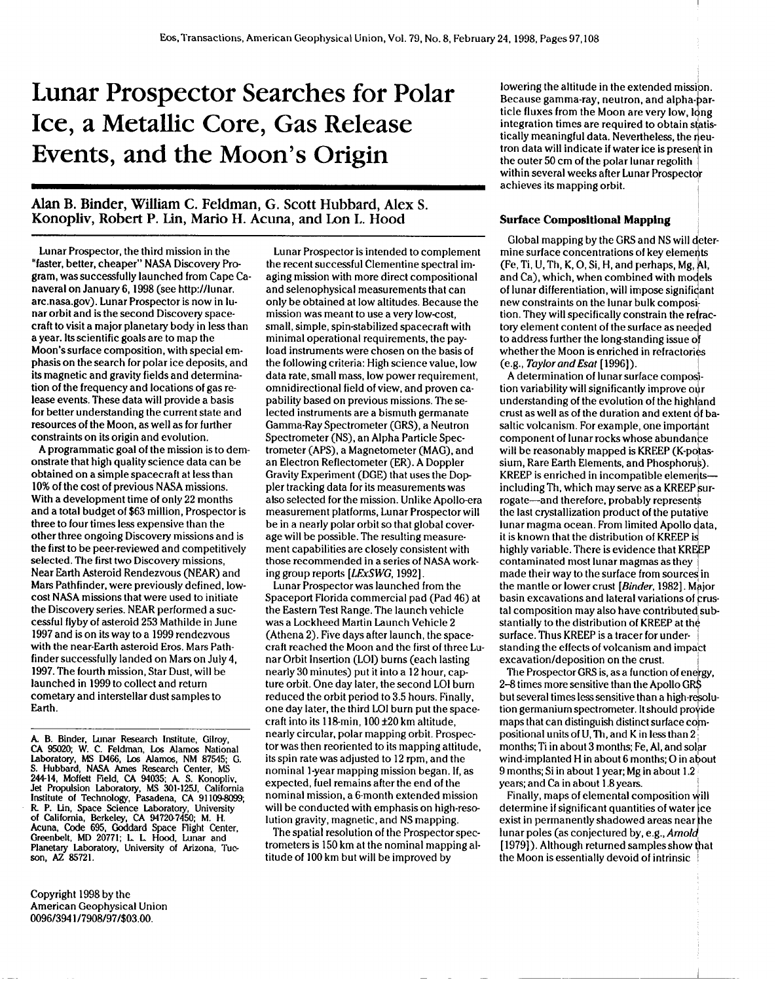# **Lunar Prospector Searches for Polar Ice, a Metallic Core, Gas Release Events, and the Moon's Origin**

# **AlarIB. Binder, William C. Feldman, G. Scott Hubbard, Alex S. Konopliv, Robert P. Lin, Mario H. Acuna, and Lon I.. Hood**

**Lunar Prospector, the third mission in the "faster, better, cheaper" NASA Discovery Pro gram, was successfully launched from Cape Canaveral on January 6, 1998 (see http://hrnar. arc.nasa.gov). Lunar Prospector is now in lunar orbit and is the second Discovery spacecraft to visit a major planetary body in less than a year. Its scientific goals are to map the Moon's surface composition, with special emphasis on the search for polar ice deposits, and its magnetic and gravity fields and determination of the frequency and locations of gas release events. These data will provide a basis for better understanding the current state and resources of the Moon, as well as for further constraints on its origin and evolution.**

**A programmatic goal of the mission is to demonstrate that high qualify science data can be obtained on a simple spacecraft at less than 10% of the cost of previous NASA missions. Whh a development time of only 22 months and a total budget of \$63 million, Prospector is three to four times less expensive than the other three ongoing Discovery missions and is the first to be peer-reviewed and competitively selected. The first two Discovery missions, Near Earth Asteroid Rendezvous (NEAR) and Mars Pathfinder, were previously defined, lowcost NASA missions that were used to initiate the Discovery series. NEAR performed a successful flyby of asteroid 253 Mathilde in June 1997 and is on its way to a 1999 rendezvous with the near-Earth asteroid Eros. Mars Pathfinder successfully landed on Mars on July 4, 1997. The fourth mission, Star Dust, will be launched in 1999 to collect and return cometary and interstellar dust samples to Earth.**

**A. B. Binder, Lunar Research Institute, Gilroy, CA 95020 W. C. Feldman, Lx Alamc6 National laboratory, MS D466, k Afamos, NM 87545 G. S. Hubbard, NASA Ames Research Center, MS 244-14, Moffett Field, CA 94035 A S. Konopliv, Jet Propulsion bboratory, MS 301-125.( California Institute** of Technology, Pasadena, CA 91109-8099; R. P. Lin, Space Science Laboratory, University<br>of California, Berkeley, CA 94720-7450; M. H.<br>Acuna, Code 695, Goddard Space Flight Center, **Greenbelt, MD 20771; L L Hood, Lunar and Planetary Laboratory, University of Arizona, Tucson, AZ 85721.**

**Copyright 1998 by the American Geophysical Union 0096/394 1/7908/97/\$03.00.**

**Lunar Prospector is intended to complement the recent successful Clementine spectral imaging mission with more direct compositional and selenophysical measurements that can only be obtained at low altitudes. Because the mission was meant to use a very low-cost, small, simple, spin-stabilized spacecraft with minimal operational requirements, the payload instruments were chosen on the basis of the following criteria: High science value, low data rate, small mass, low power requirement, omnidirectional field of view, and proven capability based on previous missions. Theselected instruments are a bismuth germanate Gamma-Ray Spectrometer (GRS), a Neutron Spectrometer (NS), an Alpha Particle Spectrometer (APS), a Magnetometer (MAG), and an Electron Reflectometer (ER). A Doppler Gravity Experiment (DGE) that uses the Doppler tracking data for its measurements was also selected for the mission. Unlike Apollo-era measurement platforms, Lunar Prospector will be in a nearly polar orbit so that global coverage will be possible. The resulting measurement capabilities are closely consistent with those recommended in a series of NASA working group reports [LEx.WG, 1992].**

**Lunar Prospector was launched from the Spaceport Florida commercial pad (Pad 46) at the Eastern Test Range. The launch vehicle was a Lockheed Martin Launch Vehicle 2 (Athena 2). Five days after launch, the spacecraft reached the Moon and the first of three Lunar Orbit Insertion (LOI) burns (each lasting nearly 30 minutes) put it into a 12 hour, capture orbit. One day later, the second LOI burn reduced the orbit period to 3.5 hours. Finally, one day later, the third LOI burn put the spacecraft into its 1lg-min, 100+20 km altitude, nearly circular, polar mapping orbit. Prospector was then reoriented to its mapping attitude, its spin rate was adjusted to 12 rpm, and the nominal l-year mapping mission began. If, as expected, fuel remains after the end of the nominal mission, a 6-month extended mission will be conducted with emphasis on high-resolution gravity, magnetic, and NS mapping.**

**The spatial resolution of the Prospector spectrometers is 150 km at the nominal mapping altitude of 100 km but will be improved by**

**lowering the altitude in the extended mission. 4 integration times are required to obtain statis-Because gamma-ray, neutron, and alpha- article fluxes from the Moon are very low, I ng 4 tron data will indicate if water ice is present in tically meaningful data. Nevertheless, the euthe outer 50 cm of the polar lunar regolith within several weeks after Lunar Prospector achieves its mapping orbit. <sup>I</sup>**

#### **Surface Compositional Mapping**

**I Global mapping by the GRS and NS will deter- / new constraints on the lunar bulk composi mine** surface concentrations of key elements **(Fe, Ti, U, Th, K, O, Si, H, and perhaps, Mg, 1, and Ca), which, when combined with mo els of lunar differentiation, will impose signifi ant tion.** They will specifically constrain the refrac**tory element content of the surface as nee ed to address further the long-standing issue o whether the Moon is enriched in refractor (e.g., Taylor and Esat [ 1996]).** 

**A determination of Iunarsurface compo~** *tion* **variability** will significantly improve our **understanding of the evolution of the highland i component of hrnarrocks whose abundan e crust as well as of the duration and extent f basaltic volcanism. For example, one import nt will be reasonably mapped is KREEP (K-po\as-11. 11. 11. 11. 11. 11. 11. 11. 11. 11. 11. 11. 11. 11. 11. 11. 11. 11. 11. 11. 11. 11. 11. 11. 11. 11. 11. 11. 11. 11. 11. 11. 11. 11. 11. 11. 11.**  $sium$ , Rare Earth Elements, and Phosphorus). including Th, which may serve as a KREEP sur- $$ **the last crystallization product of the putative ~ it is known that the distribution of KREEP i lunar magma ocean. From limited Apollo ata, highly** variable. There is evidence that KREEP **contaminated most lunar magmas as they made their way to the surface from sourceq in the** mantle or lower crust [Binder, 1982]. Major **basin excavations and lateral variations of ~rustal composition may also have contributed substantially to the distribution of KREEP at th~ surface. Thus KREEP is a tracer for under- i standing the effects of volcanism and impact excavation/deposition on the crust. I**

**The Prospector GRS is, as a function of ene}gy, 2-8 times more sensitive than the Apollo G \* but several times lesssensitive than a high-rqsolution germanium spectrometer. It should pro' ide maps** that can distinguish distinct surface com**positional units of U, Th, and K in lessthan 2 ~ months**; Ti in about 3 months; Fe, Al, and solar **wind-implanted H in about 6 months O in about 9 months Si in about 1year; Mg in about 1.2 years; and Cain about 1.8years. ,**

**Finally, maps of elemental composition ill 1 lunar poles (as conjectured by, e.g.,** Arnol **determine if significant quantities of water ce exist in permanently shadowed areas near he** [1979]). **Although returned samples show that the Moon is essentially devoid of intrinsic !**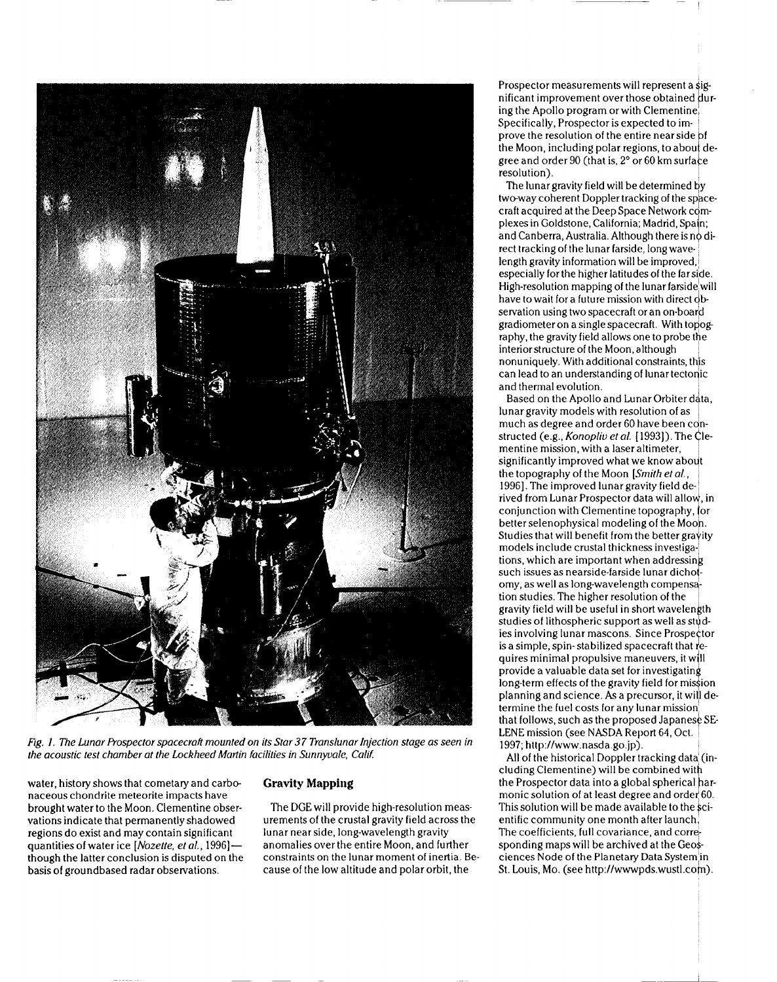

Fig. 1. The Lunar Prospector spacecraft mounted on its Star 37 Translunar Injection stage as seen in the acoustic test chamber at the Lockheed Martin facilities in Sunnyvale, Calif.

water, history shows that cometary and carbonaceous chondrite meteorite impacts have brought water to the Moon. Clementine observations indicate that permanently shadowed regions do exist and may contain significant quantities of water ice [Nozette, et al., 1996]. though the latter conclusion is disputed on the basis of groundbased radar observations.

## **Gravity Mapping**

The DGE will provide high-resolution measurements of the crustal gravity field across the lunar near side, long-wavelength gravity anomalies over the entire Moon, and further constraints on the lunar moment of inertia. Because of the low altitude and polar orbit, the

**Prospector measurements will represent a ~ig** $n$  **ificant improvement** over those obtained dur**ing the Apollo program or with Clementinej Specifically, Prospector is expected to im- ~ prove the resolution of the entire nearside ~f ! gree and order 90 (that is, 2" or 60 kmsurfa e the Moon, including polar regions, to abou deresolution).**

**The lunar gravity field will be determined ~y two-way** coherent Doppler **tracking** of the space $c$  **craft acquired** at the Deep Space Network  $com$ **plexes in Goldstone, California; Madrid, Spa n; 4 and Canberra, Australia, Although there is n direct tracking of the lunar farside, long wave- ~ length gravity information will be improved, I especially** for the higher latitudes of the far side. **High-resolution mapping of the lunar farside'will have to wait for a future mission with direct ~b servation using two spacecraft** or **an** on-board **gradiometer** on a single spacecraft. With topog**raphy, the gravity field allows one to probe the interior structure of the Moon, although I nonuniquely. With additional constraints, th s can lead to an understanding of Iunartectolic and thermal evofution.** <sup>I</sup>

 $B$ ased on the Apollo and Lunar Orbiter data, **Iunargravity models with resolution of as much as degree and order 60 have been con** structed (e.g., *Konopliv et al.* [1993]). The Cle**mentine mission, with a Iaseraltimeter,**  $s$  **isomificantly** improved what we know about **the topography of the Moon** [Smith et al., I **1996]. The improved Iunargravity field de-l rived from Lunar Prospector data will allo d, in \ Studies that will benefit from the bettergra ity conjunction with Clementine topography, or better selenophysical modeling of the Moo models Y include crustal thickness investigations, which are important when addressin <sup>b</sup> such issues as nearside-farside lunar dicho - ! omy, as well as long-wavelength compens~ tion studies, The higher resolution of the ' 1 is a simple, spin-stabilized spacecraft that egravity field will be useful in short wavelen th studies** of lithospheric support as well as stud**ies involving lunar mascons. Since Prospe tor quires minimal propulsive maneuvers, it will 4 long-term effects of the gravity field for mi ion provide a valuable data set for investigating pfanning and science. As a precursor, it will determine the fuel costs for any lunar mission that follows, such as the proposed Japanese SE-LENE mission (see NASDA Report 64, Oct. 1 1997; http://www.nasda.go. jp). !**

**All of the historical Doppler tracking data: (including Clementine) will be combined wit \ the Prospector data into a global spherical armonicsolution of at least degree and orde/60. This solution will be made available to the ~cientific** community one month after launch<sup>1</sup>, **The** coefficients, full covariance, and corre**spending maps will be archived at the Geo~ ciences Node of the Planetary Data System'in St.** Louis, Mo. (see http://wwwpds.wustl.com).